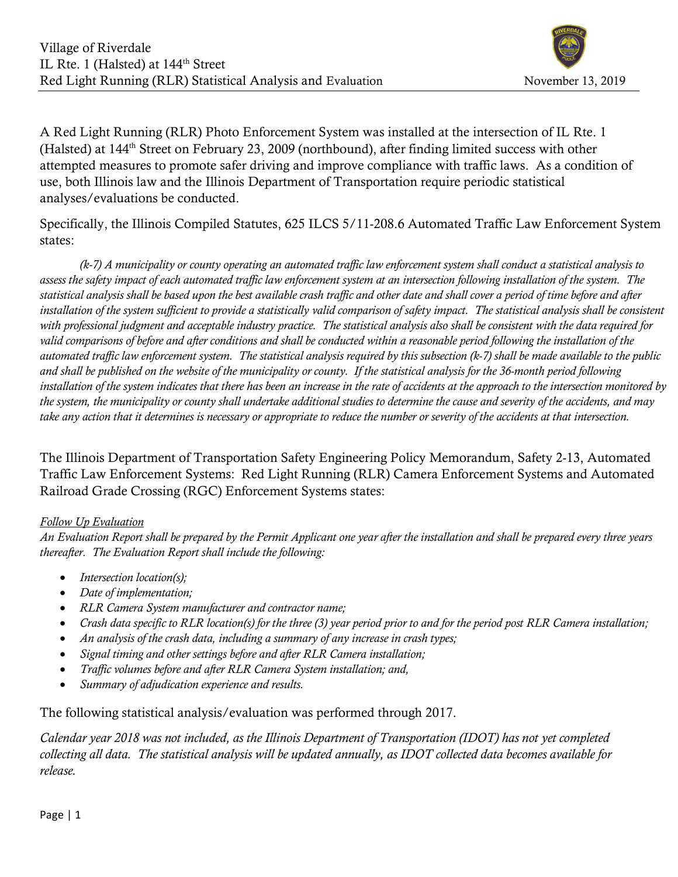

A Red Light Running (RLR) Photo Enforcement System was installed at the intersection of IL Rte. 1 (Halsted) at 144th Street on February 23, 2009 (northbound), after finding limited success with other attempted measures to promote safer driving and improve compliance with traffic laws. As a condition of use, both Illinois law and the Illinois Department of Transportation require periodic statistical analyses/evaluations be conducted.

Specifically, the Illinois Compiled Statutes, 625 ILCS 5/11-208.6 Automated Traffic Law Enforcement System states:

 (k-7) A municipality or county operating an automated traffic law enforcement system shall conduct a statistical analysis to assess the safety impact of each automated traffic law enforcement system at an intersection following installation of the system. The statistical analysis shall be based upon the best available crash traffic and other date and shall cover a period of time before and after installation of the system sufficient to provide a statistically valid comparison of safety impact. The statistical analysis shall be consistent with professional judgment and acceptable industry practice. The statistical analysis also shall be consistent with the data required for valid comparisons of before and after conditions and shall be conducted within a reasonable period following the installation of the automated traffic law enforcement system. The statistical analysis required by this subsection (k-7) shall be made available to the public and shall be published on the website of the municipality or county. If the statistical analysis for the 36-month period following installation of the system indicates that there has been an increase in the rate of accidents at the approach to the intersection monitored by the system, the municipality or county shall undertake additional studies to determine the cause and severity of the accidents, and may take any action that it determines is necessary or appropriate to reduce the number or severity of the accidents at that intersection.

The Illinois Department of Transportation Safety Engineering Policy Memorandum, Safety 2-13, Automated Traffic Law Enforcement Systems: Red Light Running (RLR) Camera Enforcement Systems and Automated Railroad Grade Crossing (RGC) Enforcement Systems states:

#### Follow Up Evaluation

An Evaluation Report shall be prepared by the Permit Applicant one year after the installation and shall be prepared every three years thereafter. The Evaluation Report shall include the following:

- $\bullet$  Intersection location(s);
- Date of implementation;
- RLR Camera System manufacturer and contractor name;
- Crash data specific to RLR location(s) for the three (3) year period prior to and for the period post RLR Camera installation;
- An analysis of the crash data, including a summary of any increase in crash types;
- Signal timing and other settings before and after RLR Camera installation;
- Traffic volumes before and after RLR Camera System installation; and,
- Summary of adjudication experience and results.

The following statistical analysis/evaluation was performed through 2017.

Calendar year 2018 was not included, as the Illinois Department of Transportation (IDOT) has not yet completed collecting all data. The statistical analysis will be updated annually, as IDOT collected data becomes available for release.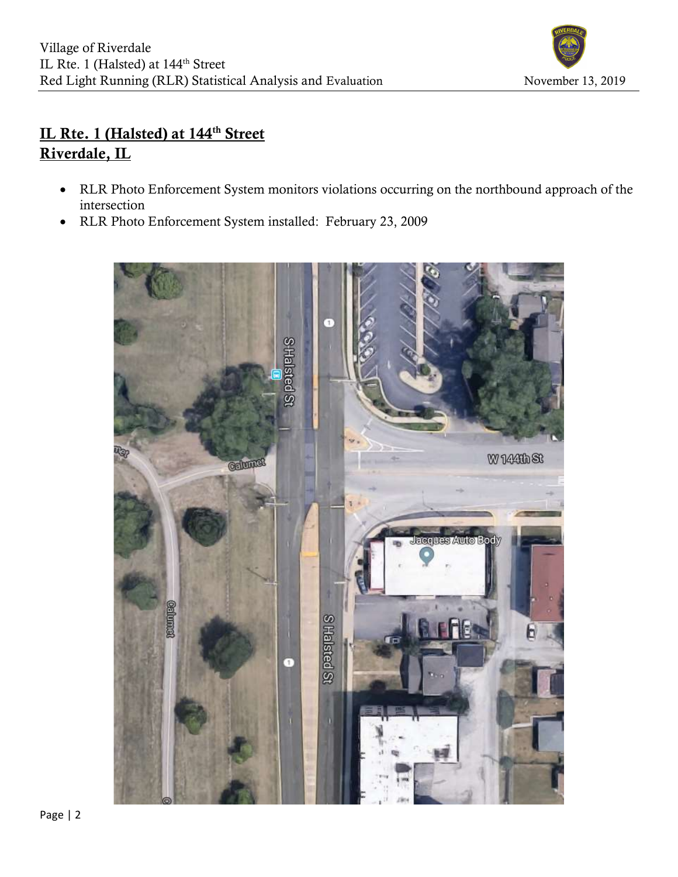

# IL Rte. 1 (Halsted) at 144<sup>th</sup> Street Riverdale, IL

- RLR Photo Enforcement System monitors violations occurring on the northbound approach of the intersection
- RLR Photo Enforcement System installed: February 23, 2009

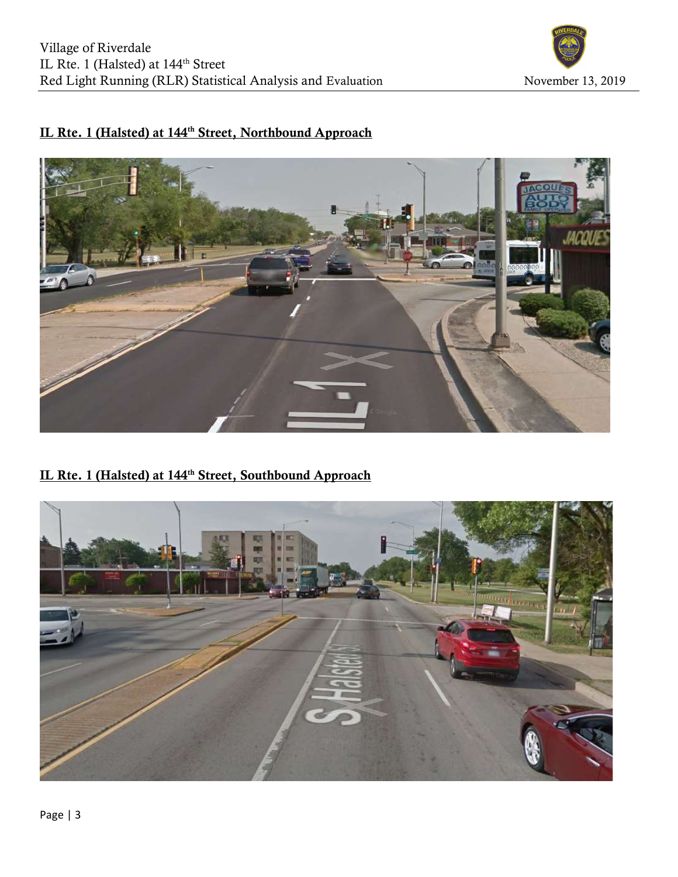

# IL Rte. 1 (Halsted) at 144<sup>th</sup> Street, Northbound Approach



### IL Rte. 1 (Halsted) at 144<sup>th</sup> Street, Southbound Approach

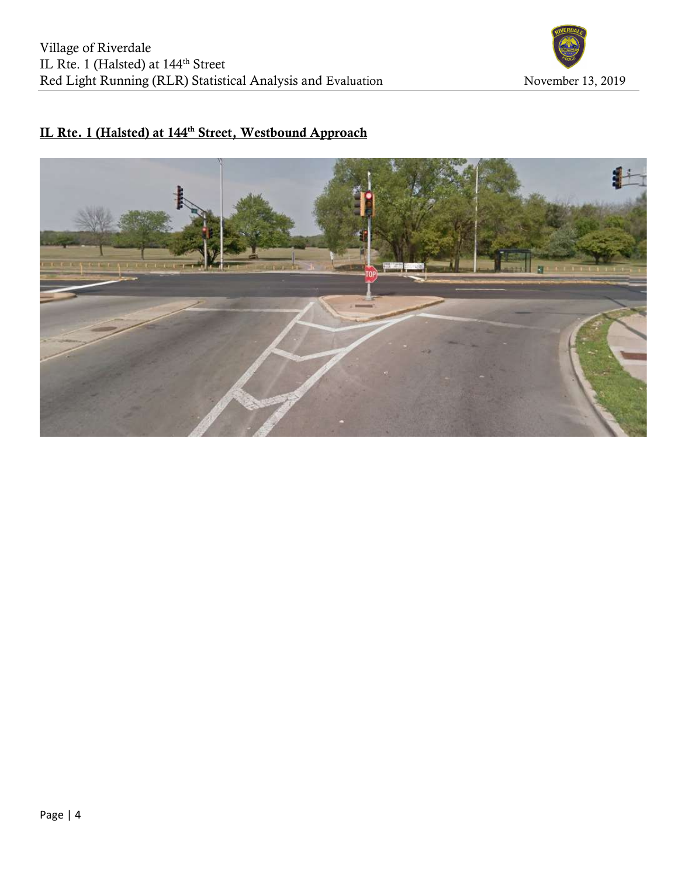

# IL Rte. 1 (Halsted) at 144<sup>th</sup> Street, Westbound Approach

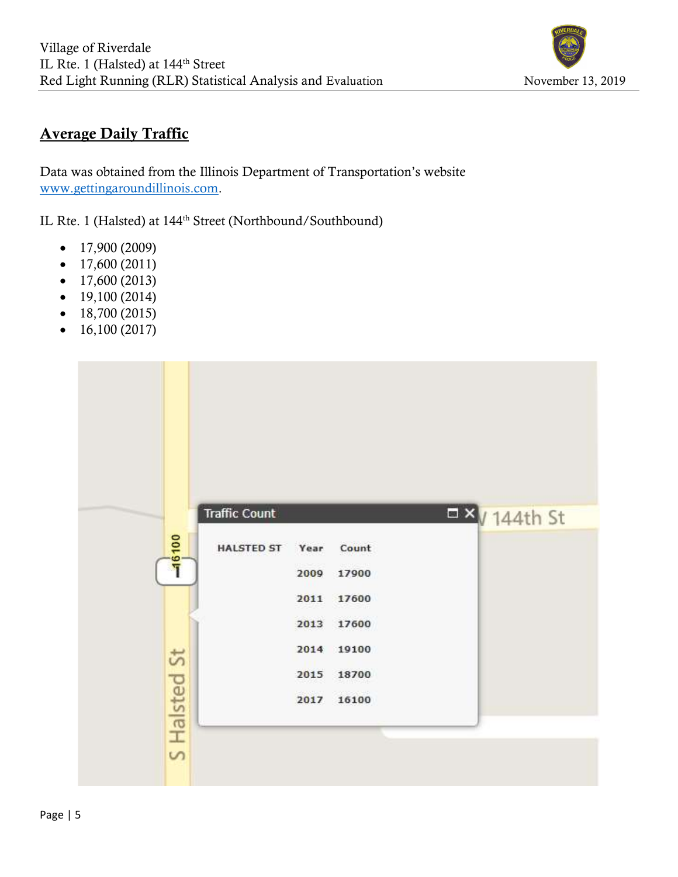

# Average Daily Traffic

Data was obtained from the Illinois Department of Transportation's website www.gettingaroundillinois.com.

IL Rte. 1 (Halsted) at 144<sup>th</sup> Street (Northbound/Southbound)

- $\bullet$  17,900 (2009)
- $\bullet$  17,600 (2011)
- $\bullet$  17,600 (2013)
- $\bullet$  19,100 (2014)
- $\bullet$  18,700 (2015)
- $\bullet$  16,100 (2017)

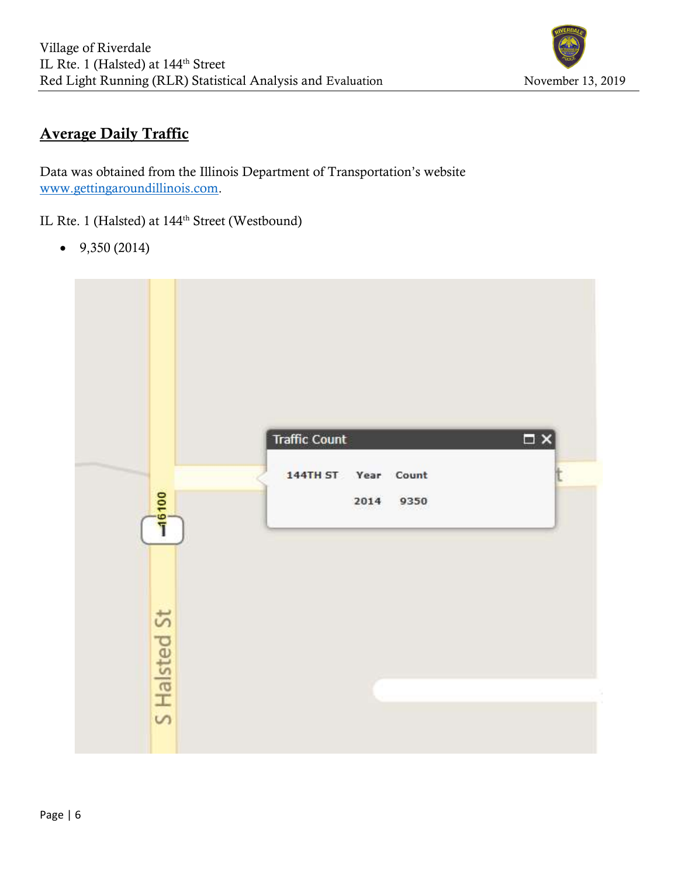

# Average Daily Traffic

Data was obtained from the Illinois Department of Transportation's website www.gettingaroundillinois.com.

IL Rte. 1 (Halsted) at 144<sup>th</sup> Street (Westbound)

 $-9,350(2014)$ 

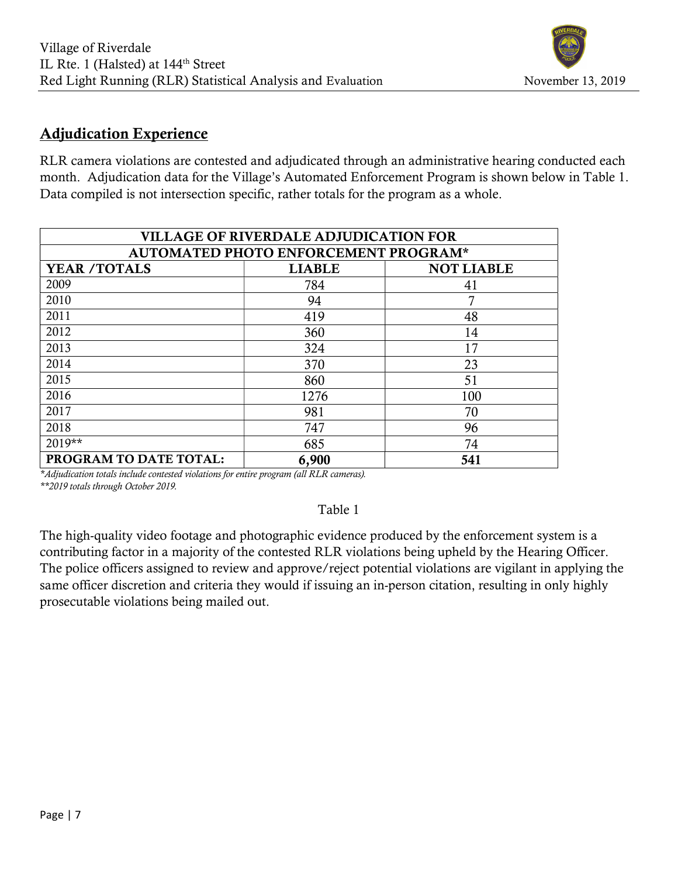## Adjudication Experience

RLR camera violations are contested and adjudicated through an administrative hearing conducted each month. Adjudication data for the Village's Automated Enforcement Program is shown below in Table 1. Data compiled is not intersection specific, rather totals for the program as a whole.

| <b>VILLAGE OF RIVERDALE ADJUDICATION FOR</b> |               |                   |  |  |  |  |  |  |
|----------------------------------------------|---------------|-------------------|--|--|--|--|--|--|
| AUTOMATED PHOTO ENFORCEMENT PROGRAM*         |               |                   |  |  |  |  |  |  |
| <b>YEAR /TOTALS</b>                          | <b>LIABLE</b> | <b>NOT LIABLE</b> |  |  |  |  |  |  |
| 2009                                         | 784           | 41                |  |  |  |  |  |  |
| 2010                                         | 94            | 7                 |  |  |  |  |  |  |
| 2011                                         | 419           | 48                |  |  |  |  |  |  |
| 2012                                         | 360           | 14                |  |  |  |  |  |  |
| 2013                                         | 324           | 17                |  |  |  |  |  |  |
| 2014                                         | 370           | 23                |  |  |  |  |  |  |
| 2015                                         | 860           | 51                |  |  |  |  |  |  |
| 2016                                         | 1276          | 100               |  |  |  |  |  |  |
| 2017                                         | 981           | 70                |  |  |  |  |  |  |
| 2018                                         | 747           | 96                |  |  |  |  |  |  |
| 2019**                                       | 685           | 74                |  |  |  |  |  |  |
| PROGRAM TO DATE TOTAL:                       | 6,900         | 541               |  |  |  |  |  |  |

\*Adjudication totals include contested violations for entire program (all RLR cameras). \*\*2019 totals through October 2019.

Table 1

The high-quality video footage and photographic evidence produced by the enforcement system is a contributing factor in a majority of the contested RLR violations being upheld by the Hearing Officer. The police officers assigned to review and approve/reject potential violations are vigilant in applying the same officer discretion and criteria they would if issuing an in-person citation, resulting in only highly prosecutable violations being mailed out.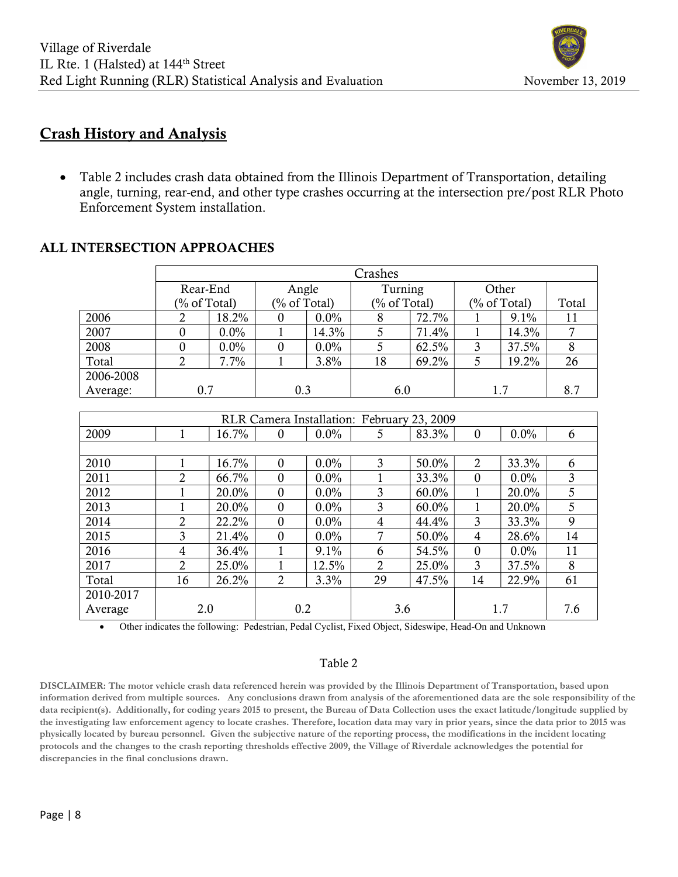

#### Crash History and Analysis

 Table 2 includes crash data obtained from the Illinois Department of Transportation, detailing angle, turning, rear-end, and other type crashes occurring at the intersection pre/post RLR Photo Enforcement System installation.

### ALL INTERSECTION APPROACHES

|           | Crashes         |         |     |              |     |              |     |                 |     |  |
|-----------|-----------------|---------|-----|--------------|-----|--------------|-----|-----------------|-----|--|
|           | Rear-End        |         |     | Angle        |     | Turning      |     | Other           |     |  |
|           | $(\%$ of Total) |         |     | (% of Total) |     | (% of Total) |     | $(\%$ of Total) |     |  |
| 2006      |                 | 18.2%   |     | $0.0\%$      |     | 72.7%        |     | $9.1\%$         |     |  |
| 2007      |                 | $0.0\%$ |     | 14.3%        |     | 71.4%        |     | 14.3%           |     |  |
| 2008      |                 | $0.0\%$ |     | 0.0%         |     | 62.5%        |     | 37.5%           | 8   |  |
| Total     |                 | 7.7%    |     | $3.8\%$      | 18  | 69.2%        |     | 19.2%           | 26  |  |
| 2006-2008 |                 |         |     |              |     |              |     |                 |     |  |
| Average:  | 0.7             |         | 0.3 |              | 6.0 |              | 1.7 |                 | 8.7 |  |

| RLR Camera Installation: February 23, 2009 |                |       |                  |         |                |          |                |         |     |
|--------------------------------------------|----------------|-------|------------------|---------|----------------|----------|----------------|---------|-----|
| 2009                                       |                | 16.7% | $\boldsymbol{0}$ | $0.0\%$ | 5              | 83.3%    | $\mathbf{0}$   | $0.0\%$ | 6   |
|                                            |                |       |                  |         |                |          |                |         |     |
| 2010                                       |                | 16.7% | $\theta$         | 0.0%    | 3              | 50.0%    | $\overline{2}$ | 33.3%   | 6   |
| 2011                                       | $\overline{2}$ | 66.7% | $\Omega$         | $0.0\%$ |                | 33.3%    | $\Omega$       | $0.0\%$ | 3   |
| 2012                                       |                | 20.0% | $\theta$         | $0.0\%$ | 3              | $60.0\%$ |                | 20.0%   | 5   |
| 2013                                       |                | 20.0% | $\boldsymbol{0}$ | $0.0\%$ | 3              | $60.0\%$ |                | 20.0%   | 5   |
| 2014                                       | $\overline{2}$ | 22.2% | $\Omega$         | $0.0\%$ | 4              | 44.4%    | 3              | 33.3%   | 9   |
| 2015                                       | 3              | 21.4% | $\Omega$         | $0.0\%$ | 7              | 50.0%    | 4              | 28.6%   | 14  |
| 2016                                       | 4              | 36.4% |                  | 9.1%    | 6              | 54.5%    | $\Omega$       | $0.0\%$ | 11  |
| 2017                                       | 2              | 25.0% |                  | 12.5%   | $\overline{2}$ | 25.0%    | 3              | 37.5%   | 8   |
| Total                                      | 16             | 26.2% | $\overline{2}$   | 3.3%    | 29             | 47.5%    | 14             | 22.9%   | 61  |
| 2010-2017                                  |                |       |                  |         |                |          |                |         |     |
| Average                                    | 2.0            |       | 0.2              |         | 3.6            |          | 1.7            |         | 7.6 |

Other indicates the following: Pedestrian, Pedal Cyclist, Fixed Object, Sideswipe, Head-On and Unknown

#### Table 2

DISCLAIMER: The motor vehicle crash data referenced herein was provided by the Illinois Department of Transportation, based upon information derived from multiple sources. Any conclusions drawn from analysis of the aforementioned data are the sole responsibility of the data recipient(s). Additionally, for coding years 2015 to present, the Bureau of Data Collection uses the exact latitude/longitude supplied by the investigating law enforcement agency to locate crashes. Therefore, location data may vary in prior years, since the data prior to 2015 was physically located by bureau personnel. Given the subjective nature of the reporting process, the modifications in the incident locating protocols and the changes to the crash reporting thresholds effective 2009, the Village of Riverdale acknowledges the potential for discrepancies in the final conclusions drawn.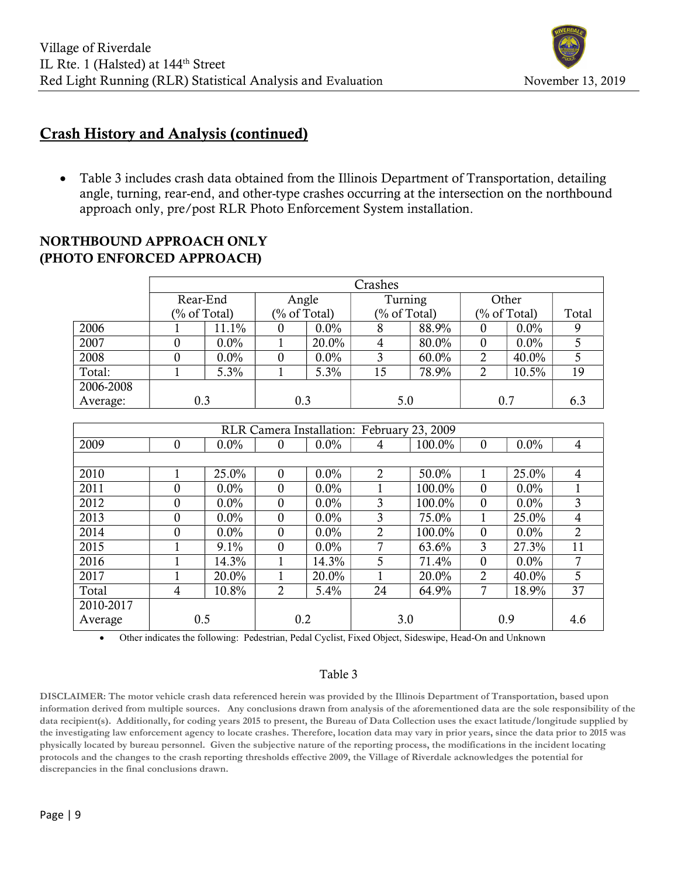

### Crash History and Analysis (continued)

• Table 3 includes crash data obtained from the Illinois Department of Transportation, detailing angle, turning, rear-end, and other-type crashes occurring at the intersection on the northbound approach only, pre/post RLR Photo Enforcement System installation.

|           | Crashes  |              |       |              |         |              |          |              |     |  |  |
|-----------|----------|--------------|-------|--------------|---------|--------------|----------|--------------|-----|--|--|
|           |          |              |       |              |         |              |          |              |     |  |  |
|           | Rear-End |              | Angle |              | Turning |              | Other    |              |     |  |  |
|           |          | (% of Total) |       | (% of Total) |         | (% of Total) |          | (% of Total) |     |  |  |
| 2006      |          | 11.1%        | 0     | $0.0\%$      | 8       | 88.9%        | 0        | $0.0\%$      | 9   |  |  |
| 2007      |          | $0.0\%$      |       | 20.0%        | 4       | 80.0%        | $\theta$ | $0.0\%$      |     |  |  |
| 2008      |          | $0.0\%$      | 0     | $0.0\%$      | 3       | 60.0%        | 2        | 40.0%        |     |  |  |
| Total:    |          | 5.3%         |       | 5.3%         | 15      | 78.9%        | 2        | 10.5%        | 19  |  |  |
| 2006-2008 |          |              |       |              |         |              |          |              |     |  |  |
| Average:  | 0.3      |              | 0.3   |              | 5.0     |              | 0.7      |              | 6.3 |  |  |

| NORTHBOUND APPROACH ONLY  |  |
|---------------------------|--|
| (PHOTO ENFORCED APPROACH) |  |

| RLR Camera Installation: February 23, 2009 |                  |         |          |         |                             |        |                |         |     |
|--------------------------------------------|------------------|---------|----------|---------|-----------------------------|--------|----------------|---------|-----|
| 2009                                       | $\boldsymbol{0}$ | $0.0\%$ | $\theta$ | $0.0\%$ | 4                           | 100.0% | $\theta$       | $0.0\%$ | 4   |
|                                            |                  |         |          |         |                             |        |                |         |     |
| 2010                                       |                  | 25.0%   | 0        | $0.0\%$ | $\mathcal{D}_{\mathcal{L}}$ | 50.0%  |                | 25.0%   | 4   |
| 2011                                       | 0                | 0.0%    | 0        | 0.0%    |                             | 100.0% | $\theta$       | $0.0\%$ |     |
| 2012                                       | $\theta$         | 0.0%    | 0        | 0.0%    | 3                           | 100.0% | $\mathbf{0}$   | $0.0\%$ | 3   |
| 2013                                       | $\theta$         | $0.0\%$ | 0        | 0.0%    | 3                           | 75.0%  |                | 25.0%   | 4   |
| 2014                                       | $\theta$         | $0.0\%$ | $\Omega$ | $0.0\%$ | 2                           | 100.0% | $\mathbf{0}$   | $0.0\%$ | 2   |
| 2015                                       |                  | 9.1%    | $\Omega$ | $0.0\%$ |                             | 63.6%  | 3              | 27.3%   | 11  |
| 2016                                       |                  | 14.3%   |          | 14.3%   | 5                           | 71.4%  | $\theta$       | $0.0\%$ | 7   |
| 2017                                       |                  | 20.0%   |          | 20.0%   |                             | 20.0%  | $\overline{2}$ | 40.0%   | 5   |
| Total                                      | 4                | 10.8%   | 2        | 5.4%    | 24                          | 64.9%  | 7              | 18.9%   | 37  |
| 2010-2017                                  |                  |         |          |         |                             |        |                |         |     |
| Average                                    | 0.5              |         | 0.2      |         |                             | 3.0    |                | 0.9     | 4.6 |

Other indicates the following: Pedestrian, Pedal Cyclist, Fixed Object, Sideswipe, Head-On and Unknown

#### Table 3

DISCLAIMER: The motor vehicle crash data referenced herein was provided by the Illinois Department of Transportation, based upon information derived from multiple sources. Any conclusions drawn from analysis of the aforementioned data are the sole responsibility of the data recipient(s). Additionally, for coding years 2015 to present, the Bureau of Data Collection uses the exact latitude/longitude supplied by the investigating law enforcement agency to locate crashes. Therefore, location data may vary in prior years, since the data prior to 2015 was physically located by bureau personnel. Given the subjective nature of the reporting process, the modifications in the incident locating protocols and the changes to the crash reporting thresholds effective 2009, the Village of Riverdale acknowledges the potential for discrepancies in the final conclusions drawn.